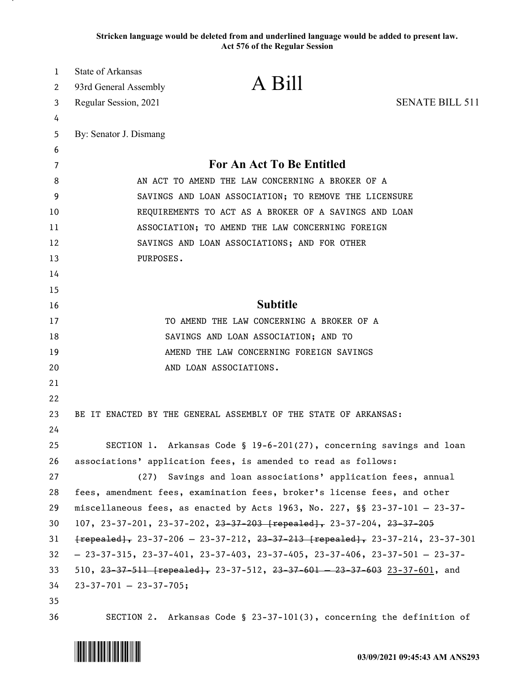**Stricken language would be deleted from and underlined language would be added to present law. Act 576 of the Regular Session**

| 1        | State of Arkansas                                                                                                                                                              | A Bill                                                                   |                        |
|----------|--------------------------------------------------------------------------------------------------------------------------------------------------------------------------------|--------------------------------------------------------------------------|------------------------|
| 2        | 93rd General Assembly                                                                                                                                                          |                                                                          |                        |
| 3        | Regular Session, 2021                                                                                                                                                          |                                                                          | <b>SENATE BILL 511</b> |
| 4        |                                                                                                                                                                                |                                                                          |                        |
| 5        | By: Senator J. Dismang                                                                                                                                                         |                                                                          |                        |
| 6<br>7   |                                                                                                                                                                                | <b>For An Act To Be Entitled</b>                                         |                        |
| 8        | AN ACT TO AMEND THE LAW CONCERNING A BROKER OF A                                                                                                                               |                                                                          |                        |
| 9        | SAVINGS AND LOAN ASSOCIATION; TO REMOVE THE LICENSURE                                                                                                                          |                                                                          |                        |
| 10       | REQUIREMENTS TO ACT AS A BROKER OF A SAVINGS AND LOAN                                                                                                                          |                                                                          |                        |
| 11       | ASSOCIATION; TO AMEND THE LAW CONCERNING FOREIGN                                                                                                                               |                                                                          |                        |
| 12       |                                                                                                                                                                                | SAVINGS AND LOAN ASSOCIATIONS; AND FOR OTHER                             |                        |
| 13       | PURPOSES.                                                                                                                                                                      |                                                                          |                        |
| 14       |                                                                                                                                                                                |                                                                          |                        |
| 15       |                                                                                                                                                                                |                                                                          |                        |
| 16       |                                                                                                                                                                                | <b>Subtitle</b>                                                          |                        |
| 17       |                                                                                                                                                                                | TO AMEND THE LAW CONCERNING A BROKER OF A                                |                        |
| 18       |                                                                                                                                                                                | SAVINGS AND LOAN ASSOCIATION; AND TO                                     |                        |
| 19       |                                                                                                                                                                                | AMEND THE LAW CONCERNING FOREIGN SAVINGS                                 |                        |
| 20       |                                                                                                                                                                                | AND LOAN ASSOCIATIONS.                                                   |                        |
| 21       |                                                                                                                                                                                |                                                                          |                        |
| 22       |                                                                                                                                                                                |                                                                          |                        |
| 23       |                                                                                                                                                                                | BE IT ENACTED BY THE GENERAL ASSEMBLY OF THE STATE OF ARKANSAS:          |                        |
| 24       |                                                                                                                                                                                |                                                                          |                        |
| 25       |                                                                                                                                                                                | SECTION 1. Arkansas Code § 19-6-201(27), concerning savings and loan     |                        |
| 26       |                                                                                                                                                                                | associations' application fees, is amended to read as follows:           |                        |
| 27       | (27)                                                                                                                                                                           | Savings and loan associations' application fees, annual                  |                        |
| 28       |                                                                                                                                                                                | fees, amendment fees, examination fees, broker's license fees, and other |                        |
| 29       | miscellaneous fees, as enacted by Acts 1963, No. 227, $\S$ 23-37-101 - 23-37-                                                                                                  |                                                                          |                        |
| 30       | 107, 23-37-201, 23-37-202, <del>23-37-203 [repealed],</del> 23-37-204, <del>23-37-205</del>                                                                                    |                                                                          |                        |
| 31       | $frepeated, 23-37-206 - 23-37-212, 23-37-213 [repeated], 23-37-214, 23-37-301]$                                                                                                |                                                                          |                        |
| 32       | $-23-37-315$ , $23-37-401$ , $23-37-403$ , $23-37-405$ , $23-37-406$ , $23-37-501$ - $23-37-501$<br>510, 23-37-511 [repealed], 23-37-512, 23-37-601 - 23-37-603 23-37-601, and |                                                                          |                        |
| 33       |                                                                                                                                                                                |                                                                          |                        |
| 34<br>35 | $23 - 37 - 701 - 23 - 37 - 705;$                                                                                                                                               |                                                                          |                        |
| 36       |                                                                                                                                                                                | SECTION 2. Arkansas Code § 23-37-101(3), concerning the definition of    |                        |

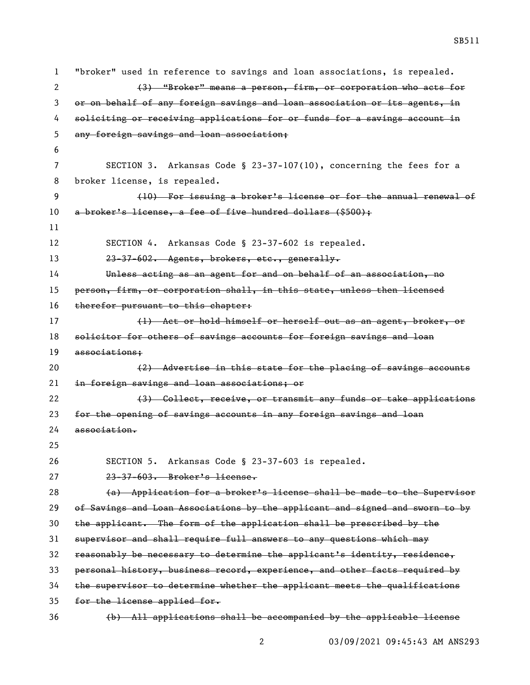"broker" used in reference to savings and loan associations, is repealed. (3) "Broker" means a person, firm, or corporation who acts for or on behalf of any foreign savings and loan association or its agents, in soliciting or receiving applications for or funds for a savings account in any foreign savings and loan association; SECTION 3. Arkansas Code § 23-37-107(10), concerning the fees for a broker license, is repealed. (10) For issuing a broker's license or for the annual renewal of 10 a broker's license, a fee of five hundred dollars (\$500); SECTION 4. Arkansas Code § 23-37-602 is repealed. 23-37-602. Agents, brokers, etc., generally. Unless acting as an agent for and on behalf of an association, no person, firm, or corporation shall, in this state, unless then licensed 16 therefor pursuant to this chapter: 17 (1) Act or hold himself or herself out as an agent, broker, or 18 solicitor for others of savings accounts for foreign savings and loan associations; 20 (2) Advertise in this state for the placing of savings accounts in foreign savings and loan associations; or 22 (3) Collect, receive, or transmit any funds or take applications for the opening of savings accounts in any foreign savings and loan association. SECTION 5. Arkansas Code § 23-37-603 is repealed. 23-37-603. Broker's license. (a) Application for a broker's license shall be made to the Supervisor of Savings and Loan Associations by the applicant and signed and sworn to by the applicant. The form of the application shall be prescribed by the supervisor and shall require full answers to any questions which may reasonably be necessary to determine the applicant's identity, residence, personal history, business record, experience, and other facts required by the supervisor to determine whether the applicant meets the qualifications for the license applied for.

(b) All applications shall be accompanied by the applicable license

03/09/2021 09:45:43 AM ANS293